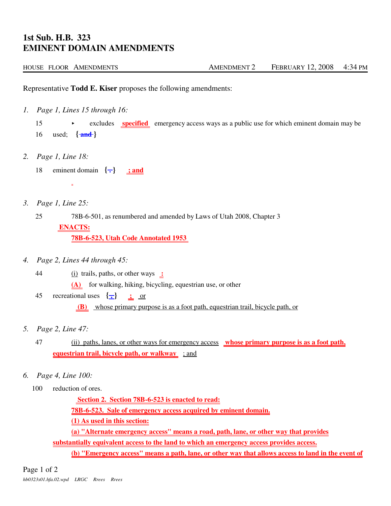## **1st Sub. H.B. 323 EMINENT DOMAIN AMENDMENTS**

| HOUSE FLOOR AMENDMENTS | <b>AMENDMENT 2</b> | <b>FEBRUARY 12, 2008</b> | 4:34 PM |
|------------------------|--------------------|--------------------------|---------|
|------------------------|--------------------|--------------------------|---------|

Representative **Todd E. Kiser** proposes the following amendments:

*1. Page 1, Lines 15 through 16:*

 $\equiv$ 

15 excludes **specified** emergency access ways as a public use for which eminent domain may be 16 used; **{ and }**

- *2. Page 1, Line 18:*
	- 18 eminent domain  $\{\textcolor{blue}{\div}\}$  ; and
- *3. Page 1, Line 25:*

25 78B-6-501, as renumbered and amended by Laws of Utah 2008, Chapter 3  **ENACTS: 78B-6-523, Utah Code Annotated 1953** 

- *4. Page 2, Lines 44 through 45:*
	- 44 (i) trails, paths, or other ways **: (A)** for walking, hiking, bicycling, equestrian use, or other
	- 45 recreational uses  $\{\frac{\ }{\}$   $\}$   $\text{ }$   $\text{ }$  or  **(B)** whose primary purpose is as a foot path, equestrian trail, bicycle path, or
- *5. Page 2, Line 47:*
	- 47 (ii) paths, lanes, or other ways for emergency access **whose primary purpose is as a foot path, equestrian trail, bicycle path, or walkway** ; and
- *6. Page 4, Line 100:*
	- 100 reduction of ores.

 **Section 2. Section 78B-6-523 is enacted to read:**

**78B-6-523. Sale of emergency access acquired by eminent domain.**

**(1) As used in this section:**

**(a) "Alternate emergency access" means a road, path, lane, or other way that provides**

**substantially equivalent access to the land to which an emergency access provides access.**

**(b) "Emergency access" means a path, lane, or other way that allows access to land in the event of**